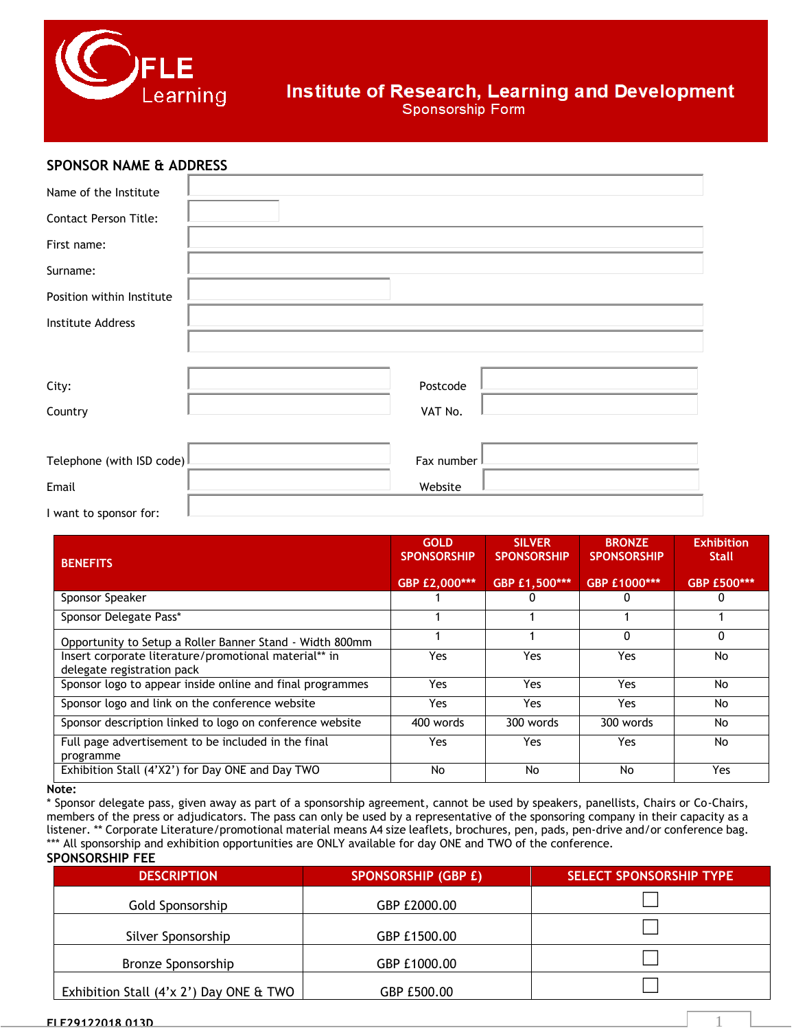

### Institute of Research, Learning and Development Sponsorship Form

**SPONSOR NAME & ADDRESS** 

| Name of the Institute        |  |            |  |
|------------------------------|--|------------|--|
| <b>Contact Person Title:</b> |  |            |  |
| First name:                  |  |            |  |
| Surname:                     |  |            |  |
| Position within Institute    |  |            |  |
| Institute Address            |  |            |  |
|                              |  |            |  |
| City:                        |  | Postcode   |  |
| Country                      |  | VAT No.    |  |
|                              |  |            |  |
| Telephone (with ISD code)    |  | Fax number |  |
| Email                        |  | Website    |  |
| I want to sponsor for:       |  |            |  |

| <b>BENEFITS</b>                                                                     | <b>GOLD</b><br><b>SPONSORSHIP</b> | <b>SILVER</b><br><b>SPONSORSHIP</b> | <b>BRONZE</b><br><b>SPONSORSHIP</b> | <b>Exhibition</b><br><b>Stall</b> |
|-------------------------------------------------------------------------------------|-----------------------------------|-------------------------------------|-------------------------------------|-----------------------------------|
|                                                                                     | GBP £2,000***                     | GBP £1.500***                       | GBP £1000***                        | GBP £500***                       |
| Sponsor Speaker                                                                     |                                   |                                     |                                     |                                   |
| Sponsor Delegate Pass*                                                              |                                   |                                     |                                     |                                   |
| Opportunity to Setup a Roller Banner Stand - Width 800mm                            |                                   |                                     | 0                                   | 0                                 |
| Insert corporate literature/promotional material** in<br>delegate registration pack | Yes.                              | Yes                                 | Yes                                 | No                                |
| Sponsor logo to appear inside online and final programmes                           | Yes.                              | Yes                                 | Yes                                 | No                                |
| Sponsor logo and link on the conference website                                     | Yes.                              | Yes                                 | Yes                                 | No                                |
| Sponsor description linked to logo on conference website                            | 400 words                         | 300 words                           | 300 words                           | No                                |
| Full page advertisement to be included in the final<br>programme                    | Yes                               | Yes                                 | Yes                                 | No                                |
| Exhibition Stall (4'X2') for Day ONE and Day TWO                                    | No                                | No                                  | No                                  | Yes                               |

#### **Note:**

\* Sponsor delegate pass, given away as part of a sponsorship agreement, cannot be used by speakers, panellists, Chairs or Co-Chairs, members of the press or adjudicators. The pass can only be used by a representative of the sponsoring company in their capacity as a listener. \*\* Corporate Literature/promotional material means A4 size leaflets, brochures, pen, pads, pen-drive and/or conference bag. \*\*\* All sponsorship and exhibition opportunities are ONLY available for day ONE and TWO of the conference.

### **SPONSORSHIP FEE**

| <b>DESCRIPTION</b>                      | <b>SPONSORSHIP (GBP £)</b> | <b>SELECT SPONSORSHIP TYPE</b> |
|-----------------------------------------|----------------------------|--------------------------------|
| Gold Sponsorship                        | GBP £2000.00               |                                |
| Silver Sponsorship                      | GBP £1500.00               |                                |
| Bronze Sponsorship                      | GBP £1000.00               |                                |
| Exhibition Stall (4'x 2') Day ONE & TWO | GBP £500.00                |                                |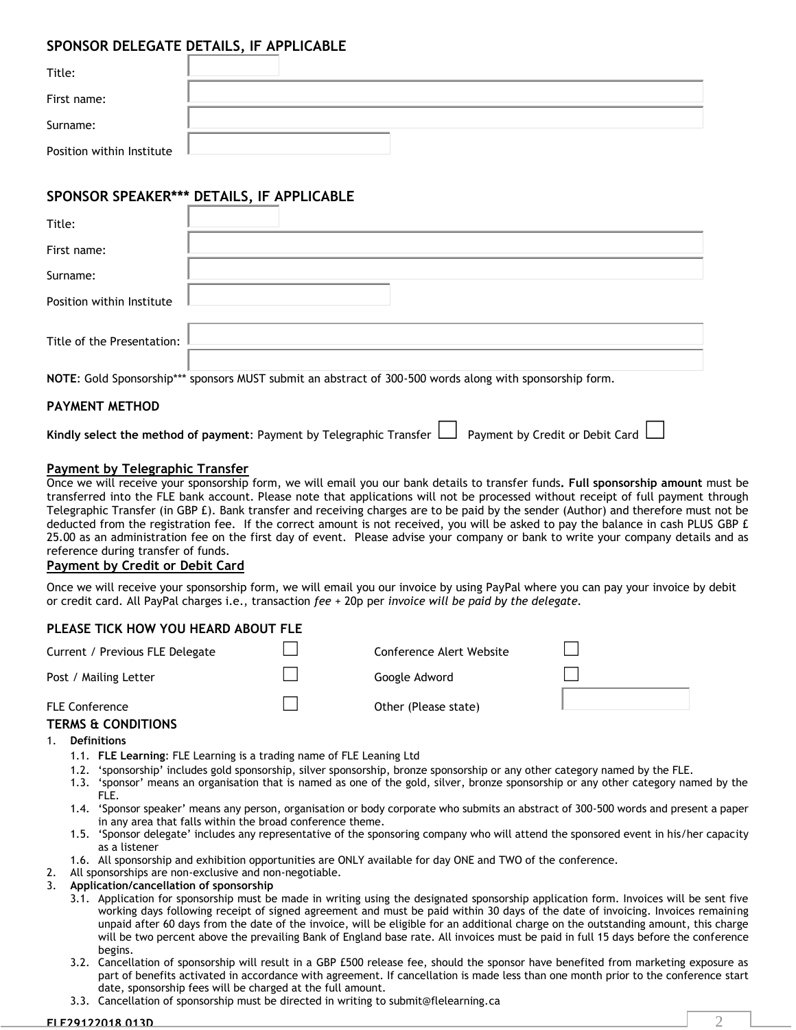### **SPONSOR DELEGATE DETAILS, IF APPLICABLE**

| Title:                    |  |  |  |
|---------------------------|--|--|--|
| First name:               |  |  |  |
| Surname:                  |  |  |  |
| Position within Institute |  |  |  |

# **SPONSOR SPEAKER\*\*\* DETAILS, IF APPLICABLE**

| Title:                                                                                                   |  |  |  |
|----------------------------------------------------------------------------------------------------------|--|--|--|
| First name:                                                                                              |  |  |  |
| Surname:                                                                                                 |  |  |  |
| Position within Institute                                                                                |  |  |  |
| Title of the Presentation:                                                                               |  |  |  |
| NOTE: Gold Sponsorship*** sponsors MUST submit an abstract of 300-500 words along with sponsorship form. |  |  |  |

### **PAYMENT METHOD**

| Kindly select the method of payment: Payment by Telegraphic Transfer $\Box$ Payment by Credit or Debit Card $\Box$ |  |  |
|--------------------------------------------------------------------------------------------------------------------|--|--|
|                                                                                                                    |  |  |

### **Payment by Telegraphic Transfer**

Once we will receive your sponsorship form, we will email you our bank details to transfer funds**. Full sponsorship amount** must be transferred into the FLE bank account. Please note that applications will not be processed without receipt of full payment through Telegraphic Transfer (in GBP £). Bank transfer and receiving charges are to be paid by the sender (Author) and therefore must not be deducted from the registration fee. If the correct amount is not received, you will be asked to pay the balance in cash PLUS GBP £ 25.00 as an administration fee on the first day of event. Please advise your company or bank to write your company details and as reference during transfer of funds.

## **Payment by Credit or Debit Card**

Once we will receive your sponsorship form, we will email you our invoice by using PayPal where you can pay your invoice by debit or credit card. All PayPal charges i.e., transaction *fee* + 20p per *invoice will be paid by the delegate.*

## **PLEASE TICK HOW YOU HEARD ABOUT FLE**

| Current / Previous FLE Delegate | Conference Alert Website |  |
|---------------------------------|--------------------------|--|
| Post / Mailing Letter           | Google Adword            |  |
| <b>FLE Conference</b>           | Other (Please state)     |  |
|                                 |                          |  |

## **TERMS & CONDITIONS**

- 1. **Definitions**
	- 1.1. **FLE Learning**: FLE Learning is a trading name of FLE Leaning Ltd
	- 1.2. 'sponsorship' includes gold sponsorship, silver sponsorship, bronze sponsorship or any other category named by the FLE.
	- 1.3. 'sponsor' means an organisation that is named as one of the gold, silver, bronze sponsorship or any other category named by the FLE.
	- 1.4. 'Sponsor speaker' means any person, organisation or body corporate who submits an abstract of 300-500 words and present a paper in any area that falls within the broad conference theme.
	- 1.5. 'Sponsor delegate' includes any representative of the sponsoring company who will attend the sponsored event in his/her capacity as a listener
	- 1.6. All sponsorship and exhibition opportunities are ONLY available for day ONE and TWO of the conference.
- 2. All sponsorships are non-exclusive and non-negotiable.
- 3. **Application/cancellation of sponsorship**
	- 3.1. Application for sponsorship must be made in writing using the designated sponsorship application form. Invoices will be sent five working days following receipt of signed agreement and must be paid within 30 days of the date of invoicing. Invoices remaining unpaid after 60 days from the date of the invoice, will be eligible for an additional charge on the outstanding amount, this charge will be two percent above the prevailing Bank of England base rate. All invoices must be paid in full 15 days before the conference begins.
	- 3.2. Cancellation of sponsorship will result in a GBP £500 release fee, should the sponsor have benefited from marketing exposure as part of benefits activated in accordance with agreement. If cancellation is made less than one month prior to the conference start date, sponsorship fees will be charged at the full amount.
	- 3.3. Cancellation of sponsorship must be directed in writing to submit@flelearning.ca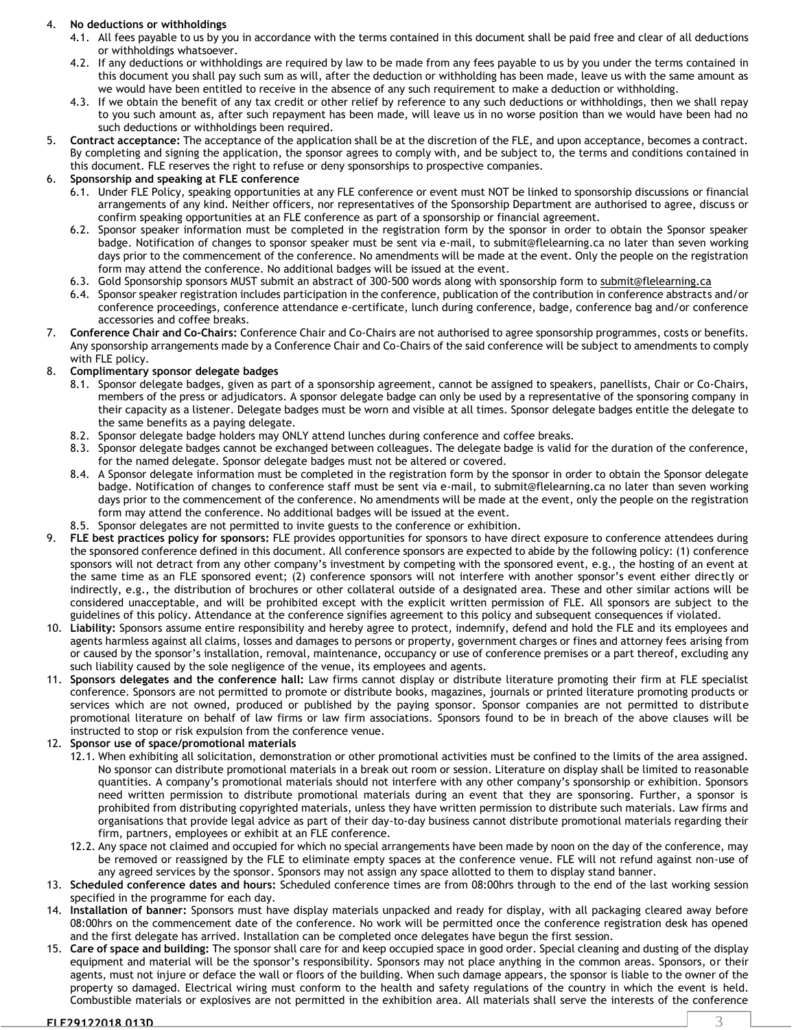### 4. **No deductions or withholdings**

- 4.1. All fees payable to us by you in accordance with the terms contained in this document shall be paid free and clear of all deductions or withholdings whatsoever.
- 4.2. If any deductions or withholdings are required by law to be made from any fees payable to us by you under the terms contained in this document you shall pay such sum as will, after the deduction or withholding has been made, leave us with the same amount as we would have been entitled to receive in the absence of any such requirement to make a deduction or withholding.
- 4.3. If we obtain the benefit of any tax credit or other relief by reference to any such deductions or withholdings, then we shall repay to you such amount as, after such repayment has been made, will leave us in no worse position than we would have been had no such deductions or withholdings been required.
- 5. **Contract acceptance:** The acceptance of the application shall be at the discretion of the FLE, and upon acceptance, becomes a contract. By completing and signing the application, the sponsor agrees to comply with, and be subject to, the terms and conditions contained in this document. FLE reserves the right to refuse or deny sponsorships to prospective companies.

### 6. **Sponsorship and speaking at FLE conference**

- 6.1. Under FLE Policy, speaking opportunities at any FLE conference or event must NOT be linked to sponsorship discussions or financial arrangements of any kind. Neither officers, nor representatives of the Sponsorship Department are authorised to agree, discuss or confirm speaking opportunities at an FLE conference as part of a sponsorship or financial agreement.
- 6.2. Sponsor speaker information must be completed in the registration form by the sponsor in order to obtain the Sponsor speaker badge. Notification of changes to sponsor speaker must be sent via e-mail, to submit@flelearning.ca no later than seven working days prior to the commencement of the conference. No amendments will be made at the event. Only the people on the registration form may attend the conference. No additional badges will be issued at the event.
- 6.3. Gold Sponsorship sponsors MUST submit an abstract of 300-500 words along with sponsorship form to [submit@flelearning.ca](mailto:submit@flelearning.co.uk)
- 6.4. Sponsor speaker registration includes participation in the conference, publication of the contribution in conference abstracts and/or conference proceedings, conference attendance e-certificate, lunch during conference, badge, conference bag and/or conference accessories and coffee breaks.
- 7. **Conference Chair and Co-Chairs:** Conference Chair and Co-Chairs are not authorised to agree sponsorship programmes, costs or benefits. Any sponsorship arrangements made by a Conference Chair and Co-Chairs of the said conference will be subject to amendments to comply with FLE policy.

### 8. **Complimentary sponsor delegate badges**

- 8.1. Sponsor delegate badges, given as part of a sponsorship agreement, cannot be assigned to speakers, panellists, Chair or Co-Chairs, members of the press or adjudicators. A sponsor delegate badge can only be used by a representative of the sponsoring company in their capacity as a listener. Delegate badges must be worn and visible at all times. Sponsor delegate badges entitle the delegate to the same benefits as a paying delegate.
- 8.2. Sponsor delegate badge holders may ONLY attend lunches during conference and coffee breaks.
- 8.3. Sponsor delegate badges cannot be exchanged between colleagues. The delegate badge is valid for the duration of the conference, for the named delegate. Sponsor delegate badges must not be altered or covered.
- 8.4. A Sponsor delegate information must be completed in the registration form by the sponsor in order to obtain the Sponsor delegate badge. Notification of changes to conference staff must be sent via e-mail, to submit@flelearning.ca no later than seven working days prior to the commencement of the conference. No amendments will be made at the event, only the people on the registration form may attend the conference. No additional badges will be issued at the event.
- 8.5. Sponsor delegates are not permitted to invite guests to the conference or exhibition.
- 9. **FLE best practices policy for sponsors:** FLE provides opportunities for sponsors to have direct exposure to conference attendees during the sponsored conference defined in this document. All conference sponsors are expected to abide by the following policy: (1) conference sponsors will not detract from any other company's investment by competing with the sponsored event, e.g., the hosting of an event at the same time as an FLE sponsored event; (2) conference sponsors will not interfere with another sponsor's event either directly or indirectly, e.g., the distribution of brochures or other collateral outside of a designated area. These and other similar actions will be considered unacceptable, and will be prohibited except with the explicit written permission of FLE. All sponsors are subject to the guidelines of this policy. Attendance at the conference signifies agreement to this policy and subsequent consequences if violated.
- 10. **Liability:** Sponsors assume entire responsibility and hereby agree to protect, indemnify, defend and hold the FLE and its employees and agents harmless against all claims, losses and damages to persons or property, government charges or fines and attorney fees arising from or caused by the sponsor's installation, removal, maintenance, occupancy or use of conference premises or a part thereof, excluding any such liability caused by the sole negligence of the venue, its employees and agents.
- 11. **Sponsors delegates and the conference hall:** Law firms cannot display or distribute literature promoting their firm at FLE specialist conference. Sponsors are not permitted to promote or distribute books, magazines, journals or printed literature promoting products or services which are not owned, produced or published by the paying sponsor. Sponsor companies are not permitted to distribute promotional literature on behalf of law firms or law firm associations. Sponsors found to be in breach of the above clauses will be instructed to stop or risk expulsion from the conference venue.

### 12. **Sponsor use of space/promotional materials**

- 12.1. When exhibiting all solicitation, demonstration or other promotional activities must be confined to the limits of the area assigned. No sponsor can distribute promotional materials in a break out room or session. Literature on display shall be limited to reasonable quantities. A company's promotional materials should not interfere with any other company's sponsorship or exhibition. Sponsors need written permission to distribute promotional materials during an event that they are sponsoring. Further, a sponsor is prohibited from distributing copyrighted materials, unless they have written permission to distribute such materials. Law firms and organisations that provide legal advice as part of their day-to-day business cannot distribute promotional materials regarding their firm, partners, employees or exhibit at an FLE conference.
- 12.2. Any space not claimed and occupied for which no special arrangements have been made by noon on the day of the conference, may be removed or reassigned by the FLE to eliminate empty spaces at the conference venue. FLE will not refund against non-use of any agreed services by the sponsor. Sponsors may not assign any space allotted to them to display stand banner.
- 13. **Scheduled conference dates and hours:** Scheduled conference times are from 08:00hrs through to the end of the last working session specified in the programme for each day.
- 14. **Installation of banner:** Sponsors must have display materials unpacked and ready for display, with all packaging cleared away before 08:00hrs on the commencement date of the conference. No work will be permitted once the conference registration desk has opened and the first delegate has arrived. Installation can be completed once delegates have begun the first session.
- 15. **Care of space and building:** The sponsor shall care for and keep occupied space in good order. Special cleaning and dusting of the display equipment and material will be the sponsor's responsibility. Sponsors may not place anything in the common areas. Sponsors, or their agents, must not injure or deface the wall or floors of the building. When such damage appears, the sponsor is liable to the owner of the property so damaged. Electrical wiring must conform to the health and safety regulations of the country in which the event is held. Combustible materials or explosives are not permitted in the exhibition area. All materials shall serve the interests of the conference